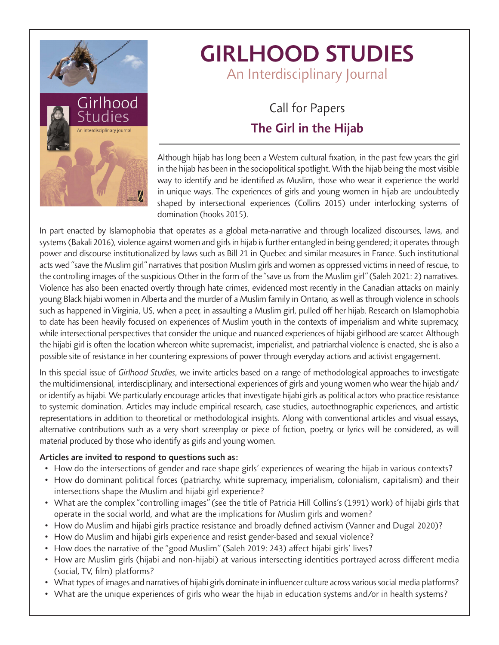

# *GIRLHOOD STUDIES An Interdisciplinary Journal*

## *Call for Papers The Girl in the Hijab*

*Although hijab has long been a Western cultural fixation, in the past few years the girl in the hijab has been in the sociopolitical spotlight. With the hijab being the most visible way to identify and be identified as Muslim, those who wear it experience the world in unique ways. The experiences of girls and young women in hijab are undoubtedly shaped by intersectional experiences (Collins 2015) under interlocking systems of domination (hooks 2015).*

In part enacted by Islamophobia that operates as a global meta-narrative and through localized discourses, laws, and *systems (Bakali 2016), violence against women and girls in hijab is further entangled in being gendered; it operates through power and discourse institutionalized by laws such as Bill 21 in Quebec and similar measures in France. Such institutional acts wed "save the Muslim girl" narratives that position Muslim girls and women as oppressed victims in need of rescue, to the controlling images of the suspicious Other in the form of the "save us from the Muslim girl" (Saleh 2021: 2) narratives. Violence has also been enacted overtly through hate crimes, evidenced most recently in the Canadian attacks on mainly young Black hijabi women in Alberta and the murder of a Muslim family in Ontario, as well as through violence in schools such as happened in Virginia, US, when a peer, in assaulting a Muslim girl, pulled off her hijab. Research on Islamophobia to date has been heavily focused on experiences of Muslim youth in the contexts of imperialism and white supremacy, while intersectional perspectives that consider the unique and nuanced experiences of hijabi girlhood are scarcer. Although the hijabi girl is often the location whereon white supremacist, imperialist, and patriarchal violence is enacted, she is also a possible site of resistance in her countering expressions of power through everyday actions and activist engagement.*

*In this special issue of Girlhood Studies, we invite articles based on a range of methodological approaches to investigate the multidimensional, interdisciplinary, and intersectional experiences of girls and young women who wear the hijab and/ or identify as hijabi. We particularly encourage articles that investigate hijabi girls as political actors who practice resistance to systemic domination. Articles may include empirical research, case studies, autoethnographic experiences, and artistic representations in addition to theoretical or methodological insights. Along with conventional articles and visual essays,*  alternative contributions such as a very short screenplay or piece of fiction, poetry, or lyrics will be considered, as will *material produced by those who identify as girls and young women.*

#### *Articles are invited to respond to questions such as:*

- *• How do the intersections of gender and race shape girls' experiences of wearing the hijab in various contexts?*
- *• How do dominant political forces (patriarchy, white supremacy, imperialism, colonialism, capitalism) and their intersections shape the Muslim and hijabi girl experience?*
- What are the complex "controlling images" (see the title of Patricia Hill Collins's (1991) work) of hijabi girls that *operate in the social world, and what are the implications for Muslim girls and women?*
- *• How do Muslim and hijabi girls practice resistance and broadly defined activism (Vanner and Dugal 2020)?*
- *• How do Muslim and hijabi girls experience and resist gender-based and sexual violence?*
- *• How does the narrative of the "good Muslim" (Saleh 2019: 243) affect hijabi girls' lives?*
- *• How are Muslim girls (hijabi and non-hijabi) at various intersecting identities portrayed across different media (social, TV, film) platforms?*
- *• What types of images and narratives of hijabi girls dominate in influencer culture across various social media platforms?*
- *• What are the unique experiences of girls who wear the hijab in education systems and/or in health systems?*